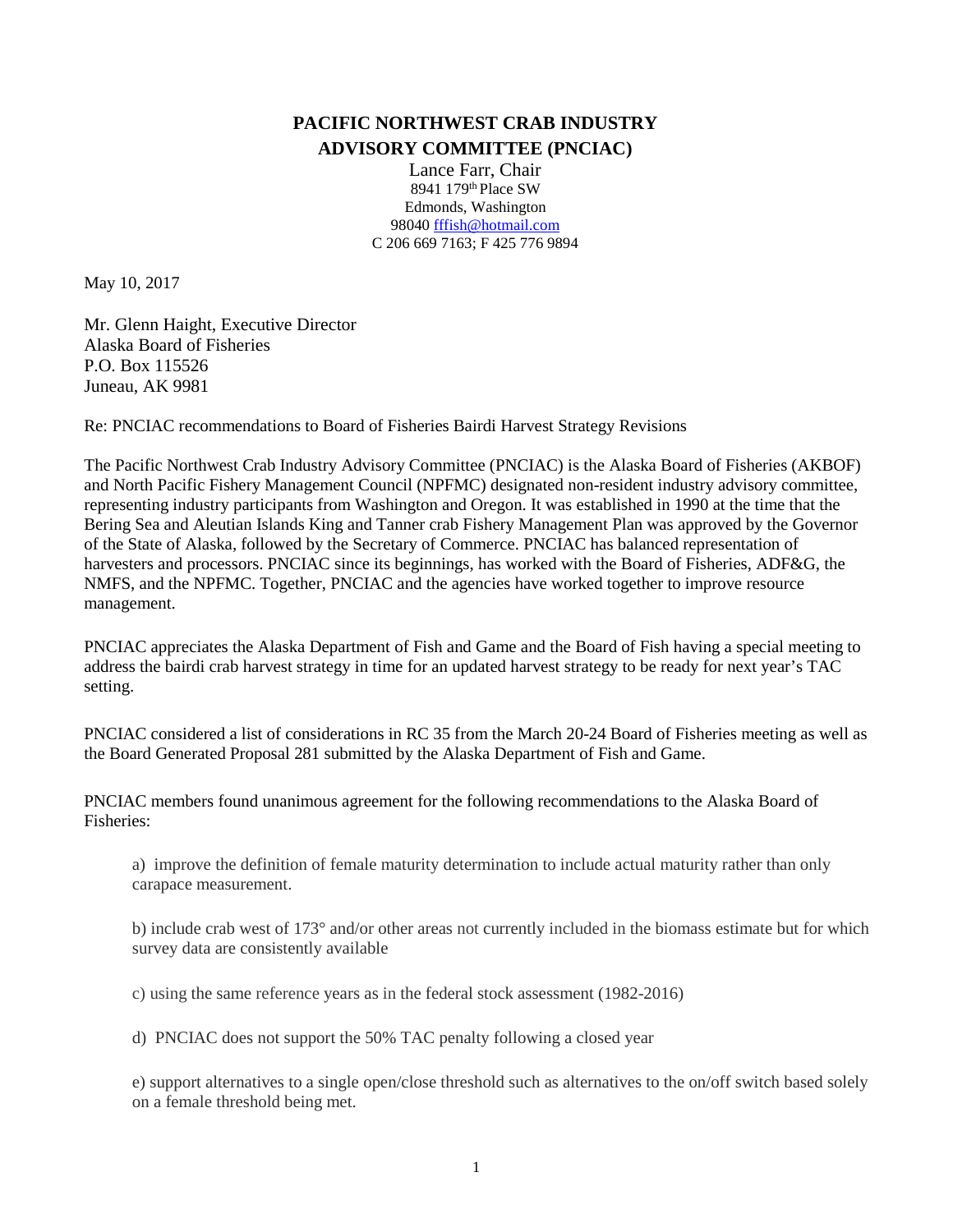## **PACIFIC NORTHWEST CRAB INDUSTRY ADVISORY COMMITTEE (PNCIAC)**

Lance Farr, Chair 8941 179th Place SW Edmonds, Washington 9804[0 fffish@hotmail.com](mailto:fffish@hotmail.com) C 206 669 7163; F 425 776 9894

May 10, 2017

Mr. Glenn Haight, Executive Director Alaska Board of Fisheries P.O. Box 115526 Juneau, AK 9981

Re: PNCIAC recommendations to Board of Fisheries Bairdi Harvest Strategy Revisions

The Pacific Northwest Crab Industry Advisory Committee (PNCIAC) is the Alaska Board of Fisheries (AKBOF) and North Pacific Fishery Management Council (NPFMC) designated non-resident industry advisory committee, representing industry participants from Washington and Oregon. It was established in 1990 at the time that the Bering Sea and Aleutian Islands King and Tanner crab Fishery Management Plan was approved by the Governor of the State of Alaska, followed by the Secretary of Commerce. PNCIAC has balanced representation of harvesters and processors. PNCIAC since its beginnings, has worked with the Board of Fisheries, ADF&G, the NMFS, and the NPFMC. Together, PNCIAC and the agencies have worked together to improve resource management.

PNCIAC appreciates the Alaska Department of Fish and Game and the Board of Fish having a special meeting to address the bairdi crab harvest strategy in time for an updated harvest strategy to be ready for next year's TAC setting.

PNCIAC considered a list of considerations in RC 35 from the March 20-24 Board of Fisheries meeting as well as the Board Generated Proposal 281 submitted by the Alaska Department of Fish and Game.

PNCIAC members found unanimous agreement for the following recommendations to the Alaska Board of Fisheries:

a) improve the definition of female maturity determination to include actual maturity rather than only carapace measurement.

b) include crab west of 173° and/or other areas not currently included in the biomass estimate but for which survey data are consistently available

c) using the same reference years as in the federal stock assessment (1982-2016)

d) PNCIAC does not support the 50% TAC penalty following a closed year

e) support alternatives to a single open/close threshold such as alternatives to the on/off switch based solely on a female threshold being met.